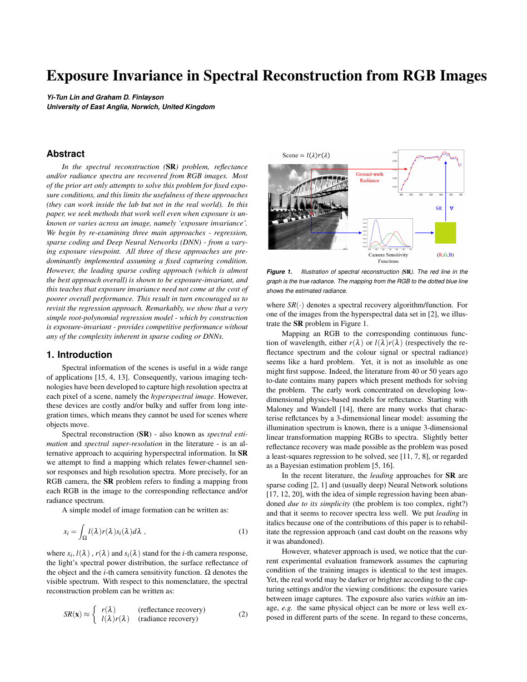# Exposure Invariance in Spectral Reconstruction from RGB Images

*Yi-Tun Lin and Graham D. Finlayson University of East Anglia, Norwich, United Kingdom*

# **Abstract**

*In the spectral reconstruction (*SR*) problem, reflectance and/or radiance spectra are recovered from RGB images. Most of the prior art only attempts to solve this problem for fixed exposure conditions, and this limits the usefulness of these approaches (they can work inside the lab but not in the real world). In this paper, we seek methods that work well even when exposure is unknown or varies across an image, namely 'exposure invariance'. We begin by re-examining three main approaches - regression, sparse coding and Deep Neural Networks (DNN) - from a varying exposure viewpoint. All three of these approaches are predominantly implemented assuming a fixed capturing condition. However, the leading sparse coding approach (which is almost the best approach overall) is shown to be exposure-invariant, and this teaches that exposure invariance need not come at the cost of poorer overall performance. This result in turn encouraged us to revisit the regression approach. Remarkably, we show that a very simple root-polynomial regression model - which by construction is exposure-invariant - provides competitive performance without any of the complexity inherent in sparse coding or DNNs.*

# **1. Introduction**

Spectral information of the scenes is useful in a wide range of applications [15, 4, 13]. Consequently, various imaging technologies have been developed to capture high resolution spectra at each pixel of a scene, namely the *hyperspectral image*. However, these devices are costly and/or bulky and suffer from long integration times, which means they cannot be used for scenes where objects move.

Spectral reconstruction (SR) - also known as *spectral estimation* and *spectral super-resolution* in the literature - is an alternative approach to acquiring hyperspectral information. In SR we attempt to find a mapping which relates fewer-channel sensor responses and high resolution spectra. More precisely, for an RGB camera, the SR problem refers to finding a mapping from each RGB in the image to the corresponding reflectance and/or radiance spectrum.

A simple model of image formation can be written as:

$$
x_i = \int_{\Omega} l(\lambda) r(\lambda) s_i(\lambda) d\lambda , \qquad (1)
$$

where  $x_i$ ,  $l(\lambda)$ ,  $r(\lambda)$  and  $s_i(\lambda)$  stand for the *i*-th camera response, the light's spectral power distribution, the surface reflectance of the object and the *i*-th camera sensitivity function. Ω denotes the visible spectrum. With respect to this nomenclature, the spectral reconstruction problem can be written as:

$$
SR(\mathbf{x}) \approx \begin{cases} r(\lambda) & \text{(reflectance recovery)}\\ l(\lambda)r(\lambda) & \text{(radiance recovery)} \end{cases}
$$
 (2)



*Figure 1. Illustration of spectral reconstruction (*SR*). The red line in the graph is the true radiance. The mapping from the RGB to the dotted blue line shows the estimated radiance.*

where  $SR(\cdot)$  denotes a spectral recovery algorithm/function. For one of the images from the hyperspectral data set in [2], we illustrate the SR problem in Figure 1.

Mapping an RGB to the corresponding continuous function of wavelength, either  $r(\lambda)$  or  $l(\lambda)r(\lambda)$  (respectively the reflectance spectrum and the colour signal or spectral radiance) seems like a hard problem. Yet, it is not as insoluble as one might first suppose. Indeed, the literature from 40 or 50 years ago to-date contains many papers which present methods for solving the problem. The early work concentrated on developing lowdimensional physics-based models for reflectance. Starting with Maloney and Wandell [14], there are many works that characterise reflctances by a 3-dimensional linear model: assuming the illumination spectrum is known, there is a unique 3-dimensional linear transformation mapping RGBs to spectra. Slightly better reflectance recovery was made possible as the problem was posed a least-squares regression to be solved, see [11, 7, 8], or regarded as a Bayesian estimation problem [5, 16].

In the recent literature, the *leading* approaches for SR are sparse coding [2, 1] and (usually deep) Neural Network solutions [17, 12, 20], with the idea of simple regression having been abandoned *due to its simplicity* (the problem is too complex, right?) and that it seems to recover spectra less well. We put *leading* in italics because one of the contributions of this paper is to rehabilitate the regression approach (and cast doubt on the reasons why it was abandoned).

However, whatever approach is used, we notice that the current experimental evaluation framework assumes the capturing condition of the training images is identical to the test images. Yet, the real world may be darker or brighter according to the capturing settings and/or the viewing conditions: the exposure varies between image captures. The exposure also varies *within* an image, *e.g.* the same physical object can be more or less well exposed in different parts of the scene. In regard to these concerns,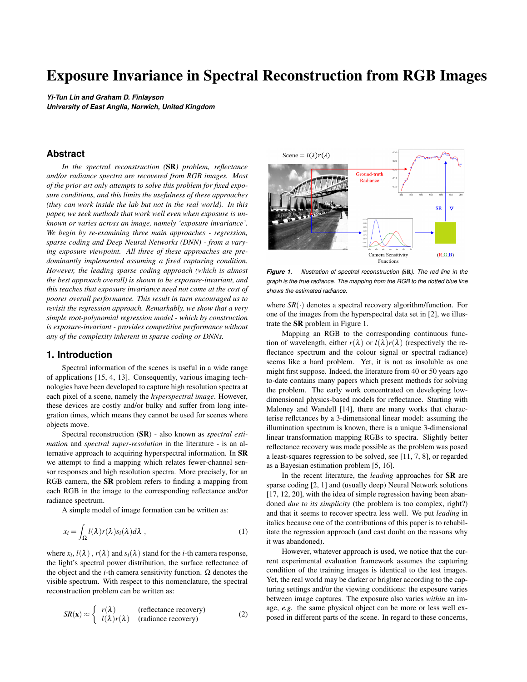

*Figure 2. Non exposure-invariant (top) and exposure-invariant* SR *(bottom)*

a key contribution of this paper is to consider spectral reconstruction when the exposure varies.

In Figure 2, we illustrate both the problem and a solution we develop in this paper. The solid lines in the figure show the same ground-truth radiance spectra scaled by a brightness factor, *i.e.* an exposure difference. While the two **SR** models were calibrated for the longer exposure condition (exposure = 1), the reconstructed spectra (marked as empty triangles) show that non-exposure-invariant polynomial regression (top panel) gets a poorer spectral recovery when the exposure is reduced.

The 'solution', which will be later introduced in section 3, is another contribution of this paper: root-polynomial spectral reconstruction. Root-polynomials by construction scales with intensity [9] while general polynomials do not. As shown in the bottom panel of Figure 2, the corresponding recovery for the root-polynomial method is equally good when exposure varies. Moreover, the experimental results in section 4 will demonstrate that root-polynomial regression provides competitive performance compared to even more complex SR methods.

# **2. Background**

# *2.1. Regression-based Models*

Let us denote a single radiance spectrum in the image as a discrete vector  $\mathbf{r}_j$  and the corresponding RGB as  $\mathbf{x}_j$ , where we assume the former is sampled at *k* points across the visible spectrum. Here and throughout the paper we assume the visible spectrum runs from 400 to 700 nanometres and we use a 10 *nm* sampling distance, so  $k = 31$  and  $\mathbf{r}_j$  is a 31-vector.

Recall Equation (2), the aim of SR is to map the RGB to the radiance spectrum:  $\mathbf{x}_j \mapsto \mathbf{r}_j$ . The simplest form of mapping is to conduct a linear transformation by a  $31 \times 3$  matrix, denoted as the regression matrix **M**, such that  $Mx_j \approx r_j$ . To solve for **M**, in the least-squares sense, the following expression is to be minimized, given *m* training pairs of RGBs and spectra:

$$
\mathbf{M}_{LR} = \underset{\mathbf{M}}{\arg \min} \left( \sum_{j=1}^{m} ||\mathbf{r}_j - \mathbf{M} \mathbf{x}_j||_2^2 + \gamma ||\mathbf{M}||_F^2 \right), \tag{3}
$$

where *LR* denotes *linear regression*. Here γ is a user defined parameter as a penalty term. When  $\gamma = 0$  the regression is *simple* least-squares. Sometimes the predictions by a regression are *unstable*. That is, regarding the SR problem, small perturbations in RGBs can lead to large changes in the recovered spectra. The aforementioned penalty term  $\gamma$  'regularises' the solution in effect making the regression stable. More details can be found in [11] and [21].

Equation (3) is solved in closed form:

$$
\mathbf{M}_{LR} = \mathbf{R}^T \mathbf{X} (\mathbf{X}^T \mathbf{X} + \gamma \mathbf{I}_{3 \times 3})^{-1}
$$
(4)

where respectively **X** and **R** are  $m \times 3$  and  $m \times 31$  matrices (the rows are respectively matched RGBs and spectra) and  $I_{3\times 3}$  is a  $3 \times 3$  identity matrix.

A simple way to include non-linearity to the regression model is to apply the *polynomial transformation* to the camera response [7], namely the polynomial regression (*PR*). For an RGB camera, the 2*nd*, 3*rd* and 4*th* degree polynomial feature vectors are defined as follows:

$$
\Phi^{2}(\mathbf{x}) = (R, G, B, R^{2}, G^{2}, B^{2}, RG, GB, RB)^{T}
$$
  
\n
$$
\Phi^{3}(\mathbf{x}) = (R, G, B, R^{2}, G^{2}, B^{2}, RG, GB, RB, R^{3}, G^{3}, B^{3}, RG^{2}, GB^{2}, RB^{2}, BG^{2}, BR^{2}, RGB)^{T}
$$
  
\n
$$
\Phi^{4}(\mathbf{x}) = (R, G, B, R^{2}, G^{2}, B^{2}, RG, GB, RB, R^{3}, G^{3}, B^{3}, RG^{2}, GB^{2}, RB^{2}, BG^{2}, BR^{2}, RGB, R^{4}, G^{4}, B^{4}, R^{3}G, R^{3}B, G^{3}R, G^{3}B, B^{3}R, B^{3}G, R^{2}G^{2}, G^{2}B^{2}, R^{2}GB, G^{2}RB, B^{2}RG)^{T}
$$
  
\n(5)

The regression problem of *PR* is defined analogously to Equation (3):

$$
\mathbf{M}_{PR}^o = \underset{\mathbf{M}}{\arg \min} \left( \sum_{j=1}^m ||\mathbf{r}_j - \mathbf{M} \Phi^o(\mathbf{x}_j)||_2^2 + \gamma ||\mathbf{M}||_F^2 \right), \quad (6)
$$

where the superscript <sup>o</sup> denotes the order of the polynomial used. The solution of Equation (6) is written in closed form as:

$$
\mathbf{M}_{PR}^o = \mathbf{R}^T \mathbf{X}_{\Phi^o} (\mathbf{X}_{\Phi^o}^T \mathbf{X}_{\Phi^o} + \gamma \mathbf{I}_{n \times n})^{-1}
$$
(7)

where the *i*-th row of  $\mathbf{X}_{\Phi}$  is the polynomial expansion of the *i*th camera RGB response, and *n* is the number of terms of the polynomial expansion.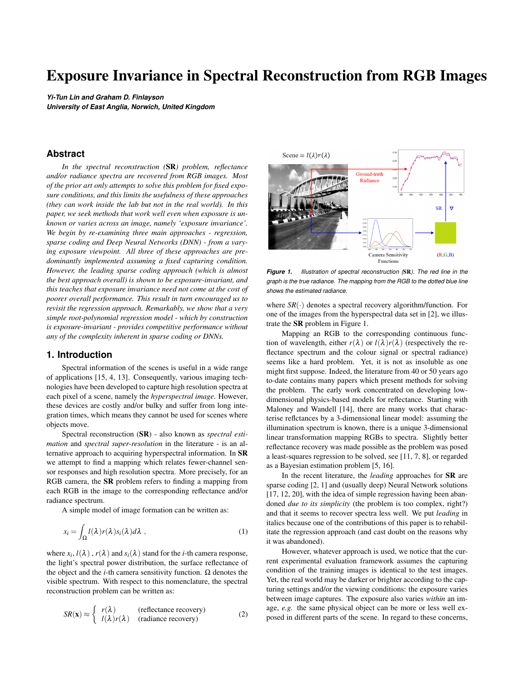# *2.2. Sparse Coding*

The basic idea behind sparse coding approach is that all spectra can either be found in or as linear combinations of a small dictionary of spectra. Let us suppose the spectral dictionary  $(D_r)$  is composed of *M* radiance spectra:

$$
D_r = [\mathbf{r}_1 \ \mathbf{r}_2 \ \dots \ \mathbf{r}_M]. \tag{8}
$$

The corresponding RGBs of all items in  $D_r$  forms an RGB dictionary:

$$
D_x = [\mathbf{x}_1 \ \mathbf{x}_2 \ \dots \ \mathbf{x}_M]. \tag{9}
$$

Now let w denote an *M*-dimensional weight vector. Since image formation is linear (see Equation (1)), *applying* the weights to  $D_r$  (making a derived spectrum) implies the corresponding RGB of the derived spectrum can be constructed by applying the same weights to  $D_x$ :

$$
D_r \mathbf{w} = \mathbf{r}' \Rightarrow \mathbf{x}' = D_x \mathbf{w} . \tag{10}
$$

It is assumed that the weights in w are all positive and sum up to 1 and furthermore w is *sparse*. 'Sparse' means that we expect most of the terms in the weight vector to be zero (or very small), such that the fit to a given RGB would only involve a small number of basis vectors.

Sparse coding SR operates in two stages. In pre-processing, the spectral dictionary  $D_r$  is found (and its optimisation can be laborious). In the second stage we 'look up' the dictionary to map RGBs to spectra and this processing is generally faster. The lookup processing in turn operates in three steps. First, the 'neighbours' of the concerned RGB response in  $D_x$  are found. Second, the combination of the neighbours which matches the RGB is calculated. This combination is then applied to the spectral dictionary  $D_r$  to recover the spectral estimate.

## *2.3 Neural Networks*

Neural Networks are well-known for their capability of determining non-linear mappings from input to output vectors. Shallow networks [19, 18, 17] were proposed to find the mapping  $SR: \mathbb{R}^3 \mapsto \mathbb{R}^{31}$  which is defined on input of a single camera response vector. More recent approaches consider an image patch as one training/testing sample, for which deep networks such as Convolutional Neural Network (*CNN*) and Generative Adversarial Network (*GAN*) are popular solutions to the problem.

In the recent *NTIRE 2018 Challenge on Spectral Reconstruction from RGB Images* [3], it was reported that all leading models involved implementation of Deep Neural Networks. We select the *CNN*-based HSCNN-D and HSCNN-R models (1*st* and 2*nd* place entries in the challenge) [20, 3] for testing in this paper.

A detailed presentation of the various networks is not possible in the restricted space of this paper. But, it is worth remarking that they are often parameterized by millions of parameters and are thus much more complex than regression-based methods.

# **3. Proposed Method**

#### *3.1 Exposure Invariance*

Suppose we change the exposure: the amount of light entering the camera (at a pixel). We model this by applying a scaling factor  $\xi$  to Equation (1):

$$
\xi x_i = \xi \int_{\Omega} l(\lambda) r(\lambda) s_i(\lambda) d\lambda . \qquad (11)
$$

This exposure scaling  $\xi$  is used to represent anything in the image formation process which affects intensity. Examples include changing the exposure time or the aperture size when an image is captured. Equivalently, the illumination prevailing in the scene could become brighter and darker. Of particular concern to this paper is the idea that the same physical reflectance could appear in different parts of the same scene at different intensities: when two spectra are the same up to a scaling factor, the corresponding RGBs will be related by the same factor and any spectral recovery should also be similarly related.

Abstractly, the SR problem - of which we have given examples of regression, sparse coding and Neural Networks - requires us to find a mapping function  $SR(\cdot)$  that maps image RGB to the corresponding radiance spectrum:

$$
SR(\mathbf{x}_j) \approx \mathbf{r}_j \,. \tag{12}
$$

An SR method is exposure-invariant if and only if

$$
SR(\xi \mathbf{x}_j) \approx \xi \mathbf{r}_j \,. \tag{13}
$$

# *3.2 Are Existing Spectral Recovery Methods Invariant to Exposure?*

Let us consider the three approaches presented in section 2. It is well known that a straightforward linear transformation is scale-invariant. However, linear regression delivers poor spectral reconstruction. For fixed viewing conditions, polynomial regression can better recover spectra from RGBs (a fact we verify in section 4). But, as discussed in [9] a polynomial regression does not scale with exposure (and as per the example shown in Figure 2 we get different recovery performance for two RGBs which are a scaling apart).

Interestingly, whether or not sparse coding is exposureinvariant depends mostly on how we predict RGBs as a sparse function of the dictionary. Suppose, for example, for a given query RGB  $x_q$  we find the three nearest neighbours in  $D_x$  which are the closest in terms of their angular distance to  $x_q$ . Then, if irrespective of the exposure we still find the same three neighbours for  $\xi \mathbf{x}_q$ , it follows that we will recover the same spectrum scaled by  $\xi$ . The leading sparse coding method, called A+ [1], turns out to be exposure-invariant. This result encouraged us to revisit the regression approach and our exposure-invariant regression is presented in the next section.

Neural Network solutions to SR, similar to polynomial regression, are also not exposure-invariant. Consider the typical architecture of a single neuron:

$$
a' = g(\mathbf{w}^T \mathbf{a} + b) , \qquad (14)
$$

where **a**, **w** and *b* are the inputs, weights and bias,  $g(\cdot)$  is called the *activation function* and  $a'$  is the output from the neuron. Here  $g(\cdot)$ could be a sigmoid function or linear rectification. The offset term alone indicates the neuron will not scale with exposure, *i.e.* if the input is  $\xi$ **a** the output will not be  $\xi a'$ . Even when  $b = 0$ , the use of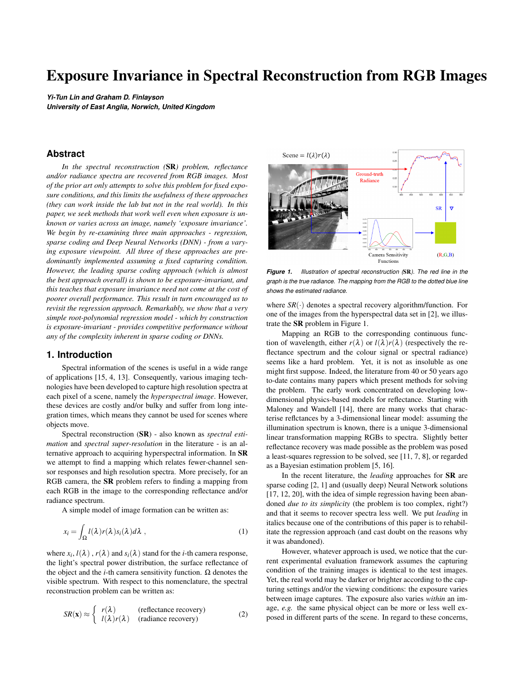common non-linear activation functions (sigmoid, *tanh* or radialbasis functions) leads to that the neuron output does not scale with the magnitude of the input. Note that the linear rectification is, in fact, scale-invariant when  $b = 0$ , but its power of including non-linearity to the network highly depends on the non-zero bias terms. Given this view at the level of a single neuron, we can expect that deep networks - of whatever architectures - can hardly be exposure-invariant by construction.

## *3.3. Root-Polynomial Spectral Reconstruction*

As the early *CNN* model was proposed to deal with the SR problem [10], Aeschbacher *et al.* [1] defended the sparse coding models reported in [2, 1], showing that they can reach comparable performance to the *CNN* solution. It was argued in the very paper that sparse coding models have the advantage over deeply learned *CNN* models in terms of time efficiency for training and runtime, clarity of relations between parameters, the amount of training data required and the robustness to overfitting. In the previous part of this paper, we have added another considering factor - exposure invariance, which introduces one more significant advantage of those shallow-learned models (linear regression and A+). Still, speaking of model complexity and efficiency, regressionbased approaches are the most fundamental and the simplest. To further improve the performance of linear regression while retaining its exposure-invariant property, we introduce a new polynomial fitting model for SR: Root-polynomial Regression (*RPR*).

The proposed method is an extension from the work of Finlayson *et al.* [9] on root-polynomial regression for colour correction. While the colour correction problem considers the mapping from the device-dependent polynomial feature to deviceindependent tristimulus values CIEXYZ (or display RGB), the SR problem seeks to estimate radiance spectra.

In Equation (5) we used the nomenclature  $\Phi$  to denote the 'polynomials', here we denote root-polynomials as Φˆ :

$$
\hat{\Phi}^2(\mathbf{x}) = \left(R, G, B, \sqrt{RG}, \sqrt{GB}, \sqrt{RB}\right)^T
$$
  

$$
\hat{\Phi}^3(\mathbf{x}) = \left(R, G, B, \sqrt{RG}, \sqrt{GB}, \sqrt{RB}, \sqrt{RB}, \sqrt{d^2}, \sqrt{d^2B^2}, \sqrt{d^2B^2}, \sqrt{d^2B^2}, \sqrt{d^2B^2}, \sqrt{d^2B^2}, \sqrt{d^2B^2}, \sqrt{d^2B^2}, \sqrt{d^2B^2}, \sqrt{d^2B^2}, \sqrt{d^2B^2}, \sqrt{d^2B^2}, \sqrt{d^2B^2}, \sqrt{d^2B^2}, \sqrt{d^2B^2}, \sqrt{d^2B^2}, \sqrt{d^2B^2}, \sqrt{d^2B^2}, \sqrt{d^2B^2}, \sqrt{d^2B^2}, \sqrt{d^2B^2}, \sqrt{d^2B^2}, \sqrt{d^2B^2}, \sqrt{d^2B^2}, \sqrt{d^2B^2}, \sqrt{d^2B^2}, \sqrt{d^2B^2}, \sqrt{d^2B^2}, \sqrt{d^2B^2}, \sqrt{d^2B^2}, \sqrt{d^2B^2}, \sqrt{d^2B^2}, \sqrt{d^2B^2}, \sqrt{d^2B^2}, \sqrt{d^2B^2}, \sqrt{d^2B^2}, \sqrt{d^2B^2}, \sqrt{d^2B^2}, \sqrt{d^2B^2}, \sqrt{d^2B^2}, \sqrt{d^2B^2}, \sqrt{d^2B^2}, \sqrt{d^2B^2}, \sqrt{d^2B^2}, \sqrt{d^2B^2}, \sqrt{d^2B^2}, \sqrt{d^2B^2}, \sqrt{d^2B^2}, \sqrt{d^2B^2}, \sqrt{d^2B^2}, \sqrt{d^2B^2}, \sqrt{d^2B^2}, \sqrt{d^2B^2}, \sqrt{d^2B^2}, \sqrt{d^2B^2}, \sqrt{d^2B^2}, \sqrt{d^2B^2}, \sqrt{d^2B^2}, \sqrt{d^2B^2}, \sqrt{d^2B^2}, \sqrt{d^2B^2}, \sqrt{d^2B^2}, \sqrt{d^2B^2}, \sqrt{d^2B^2}, \sqrt{d^2B^2}, \sqrt{d^2B^2}, \sqrt{d^2B^2}, \sqrt{d
$$

It is clear that  $\hat{\Phi}^{\circ}(\xi \mathbf{x}) = \xi \hat{\Phi}^{\circ}(\mathbf{x})$  and so root-polynomial regression is exposure-invariant [9].

Note that compared with *PR*, the number of polynomial terms decreases for *RPR*: the  $2^{nd}$ ,  $3^{rd}$  and  $4^{th}$  degree polynomial features for *PR* have 9, 19 and 34 terms, while for *RPR* the numbers are reduced to 6, 13 and 22 terms, respectively.

The closed-form solution of *RPR* can be calculated analogously to Equation (6) and (7):

$$
\mathbf{M}_{RPR}^o = \underset{\mathbf{M}}{\arg \min} \left( \sum_{j=1}^m ||\mathbf{r}_j - \mathbf{M} \hat{\Phi}^o(\mathbf{x}_j)||_2^2 + \gamma ||\mathbf{M}||_F^2 \right), \tag{16}
$$

and

$$
\mathbf{M}_{RPR}^o = \mathbf{R}^T \mathbf{X}_{\hat{\Phi}^o} (\mathbf{X}_{\hat{\Phi}^o}^T \mathbf{X}_{\hat{\Phi}^o} + \gamma \mathbf{I}_{n \times n})^{-1}
$$
(17)

where the *i*-th row of  $\mathbf{X}_{\hat{\Phi}^o}$  is the root-polynomial expansion of the *i*-th camera RGB response.

Finally, we allow a small extension to the *RPR* model where we regress based on a small neighbourhood of pixels. Let us denote the root-polynomial expansion at a pixel  $(u, v)$  as  $\mathbf{X}_{\hat{\sigma}^o}(u, v)$ . Assuming a  $3 \times 3$  pixel neighbourhood, we have 9 pixel locations (*u*−1, *v*−1),(*u*−1, *v*),··· ,(*u*+1, *v*),(*u*+1, *v*+1) with 9 expansions of the form  $\mathbf{X}_{\hat{\Phi}^o}(u, v)$ . We simply stack these 9 vectors one after another, for the whole training data set, giving a combined neighbourhood representation denoted as  $X_{\hat{\Phi}^o}^{3\times 3}$ , which we use to substitute for  $\mathbf{X}_{\hat{\Phi}^o}$  in Equation (17). For instance, per-pixel  $2^{nd}$ order root-polynomial regression matrix  $M_{RPR}^2$  is 31  $\times$  6. When a  $3 \times 3$  neighbourhood is considered, the regression matrix becomes  $31 \times 54$ . This additional variation of the model is to move the regression idea (even so gently) toward Deep Neural Networks (whose power is in large part derived from the spatial processing of images).

# **4. Experiments**

#### **Table 1. List of tested models**

| Model           | Approach      | <b>Exposure</b><br>invariant? |
|-----------------|---------------|-------------------------------|
| <b>HSCNN-D</b>  | <b>CNN</b>    | no                            |
| <b>HSCNN-R</b>  | <b>CNN</b>    | no                            |
| $A + (1x1)$     | Sparse Coding | yes                           |
| $A + (3x3)$     | Sparse Coding | yes                           |
| LR              | Regression    | yes                           |
| PR <sub>6</sub> | Regression    | no                            |
| RPR6 (1x1)      | Regression    | yes                           |
| RPR6 (3x3)      | Regression    | yes                           |
|                 |               |                               |

We are going to evaluate spectral recovery for the 8 algorithms listed in Table 1. Note that for both *PR* and *RPR* models, 6*th* order feature mapping were selected, abbreviated as *PR6* and *RPR6*, respectively. *RPR6* ( $3 \times 3$ ) denotes the  $6<sup>th</sup>$  order rootpolynomial regression in a  $3 \times 3$  neighborhood. Likewise, for the A+ algorithm [1] we also include per-pixel  $(1 \times 1)$  and perneighbourhood  $(3 \times 3)$  versions.

The hyperspectral image database used for the experiments was ICVL data set [2] (Date of Access: 14 Jan. 2019), which contains 201 hyperspectral images including both indoor and outdoor scenes. The spectral dimension of all spectral data was discretized with 10 *nm* intervals within the visible range [400,700] *nm* (*i.e.* all spectra are 31-vectors). The corresponding RGB images were simulated by integrating the hyperspectral images with the CIE 1964 color matching functions [6]. All models were tested with original, half and double exposure scalings, which were applied